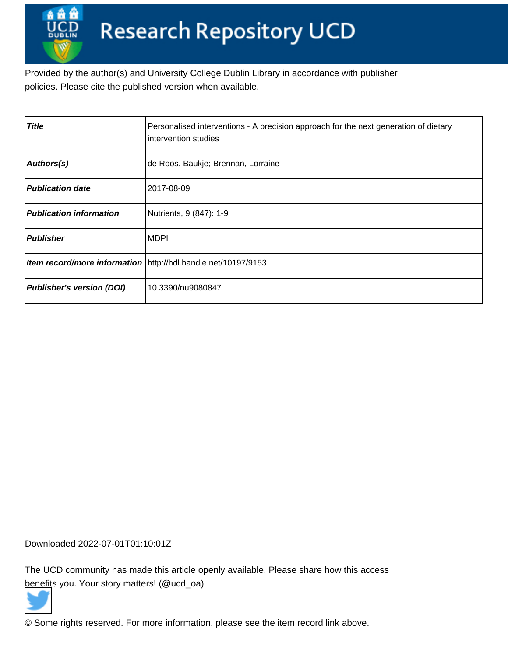Provided by the author(s) and University College Dublin Library in accordance with publisher policies. Please cite the published version when available.

| <b>Title</b>                     | Personalised interventions - A precision approach for the next generation of dietary<br>Iintervention studies |
|----------------------------------|---------------------------------------------------------------------------------------------------------------|
| Authors(s)                       | de Roos, Baukje; Brennan, Lorraine                                                                            |
| <b>Publication date</b>          | l2017-08-09                                                                                                   |
| <b>Publication information</b>   | Nutrients, 9 (847): 1-9                                                                                       |
| <b>Publisher</b>                 | MDPI                                                                                                          |
|                                  | Item record/more information \http://hdl.handle.net/10197/9153                                                |
| <b>Publisher's version (DOI)</b> | 10.3390/nu9080847                                                                                             |

Downloaded 2022-07-01T01:10:01Z

The UCD community has made this article openly available. Please share how this access [benefit](https://twitter.com/intent/tweet?via=ucd_oa&text=DOI%3A10.3390%2Fnu9080847&url=http%3A%2F%2Fhdl.handle.net%2F10197%2F9153)s you. Your story matters! (@ucd\_oa)



© Some rights reserved. For more information, please see the item record link above.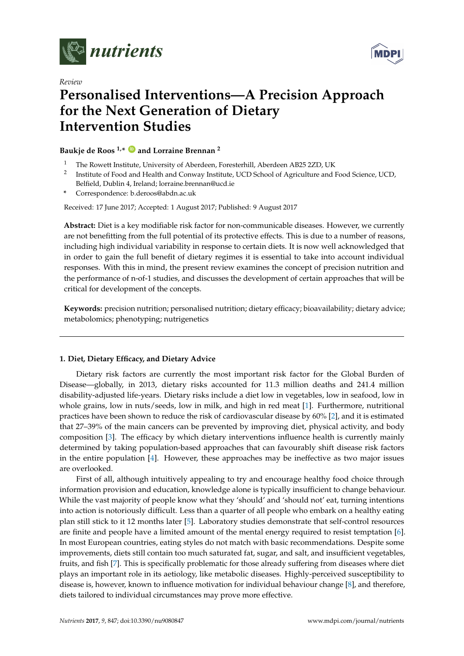



# *Review* **Personalised Interventions—A Precision Approach for the Next Generation of Dietary Intervention Studies**

**Baukje de Roos 1,\* [ID](https://orcid.org/0000-0002-2750-3914) and Lorraine Brennan <sup>2</sup>**

- <sup>1</sup> The Rowett Institute, University of Aberdeen, Foresterhill, Aberdeen AB25 2ZD, UK
- $^2$  Institute of Food and Health and Conway Institute, UCD School of Agriculture and Food Science, UCD, Belfield, Dublin 4, Ireland; lorraine.brennan@ucd.ie
- **\*** Correspondence: b.deroos@abdn.ac.uk

Received: 17 June 2017; Accepted: 1 August 2017; Published: 9 August 2017

**Abstract:** Diet is a key modifiable risk factor for non-communicable diseases. However, we currently are not benefitting from the full potential of its protective effects. This is due to a number of reasons, including high individual variability in response to certain diets. It is now well acknowledged that in order to gain the full benefit of dietary regimes it is essential to take into account individual responses. With this in mind, the present review examines the concept of precision nutrition and the performance of n-of-1 studies, and discusses the development of certain approaches that will be critical for development of the concepts.

**Keywords:** precision nutrition; personalised nutrition; dietary efficacy; bioavailability; dietary advice; metabolomics; phenotyping; nutrigenetics

# **1. Diet, Dietary Efficacy, and Dietary Advice**

Dietary risk factors are currently the most important risk factor for the Global Burden of Disease—globally, in 2013, dietary risks accounted for 11.3 million deaths and 241.4 million disability-adjusted life-years. Dietary risks include a diet low in vegetables, low in seafood, low in whole grains, low in nuts/seeds, low in milk, and high in red meat [1]. Furthermore, nutritional practices have been shown to reduce the risk of cardiovascular disease by 60% [2], and it is estimated that 27–39% of the main cancers can be prevented by improving diet, physical activity, and body composition [3]. The efficacy by which dietary interventions influence health is currently mainly determined by taking population-based approaches that can favourably shift disease risk factors in the entire population [4]. However, these approaches may be ineffective as two major issues are overlooked.

First of all, although intuitively appealing to try and encourage healthy food choice through information provision and education, knowledge alone is typically insufficient to change behaviour. While the vast majority of people know what they 'should' and 'should not' eat, turning intentions into action is notoriously difficult. Less than a quarter of all people who embark on a healthy eating plan still stick to it 12 months later [5]. Laboratory studies demonstrate that self-control resources are finite and people have a limited amount of the mental energy required to resist temptation [6]. In most European countries, eating styles do not match with basic recommendations. Despite some improvements, diets still contain too much saturated fat, sugar, and salt, and insufficient vegetables, fruits, and fish [7]. This is specifically problematic for those already suffering from diseases where diet plays an important role in its aetiology, like metabolic diseases. Highly-perceived susceptibility to disease is, however, known to influence motivation for individual behaviour change [8], and therefore, diets tailored to individual circumstances may prove more effective.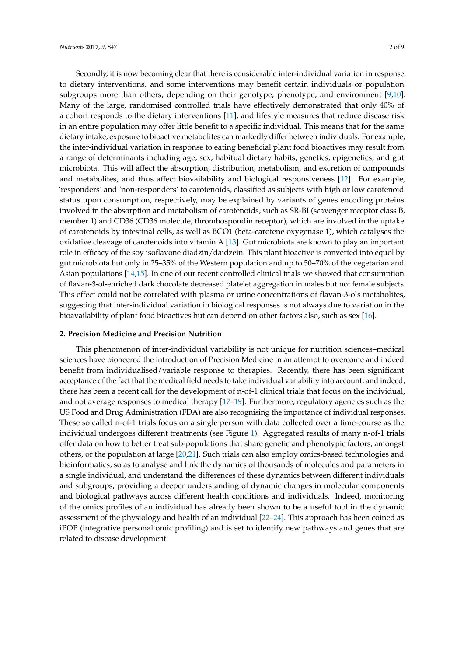Secondly, it is now becoming clear that there is considerable inter-individual variation in response to dietary interventions, and some interventions may benefit certain individuals or population subgroups more than others, depending on their genotype, phenotype, and environment [9,10]. Many of the large, randomised controlled trials have effectively demonstrated that only 40% of a cohort responds to the dietary interventions [11], and lifestyle measures that reduce disease risk in an entire population may offer little benefit to a specific individual. This means that for the same dietary intake, exposure to bioactive metabolites can markedly differ between individuals. For example, the inter-individual variation in response to eating beneficial plant food bioactives may result from a range of determinants including age, sex, habitual dietary habits, genetics, epigenetics, and gut microbiota. This will affect the absorption, distribution, metabolism, and excretion of compounds and metabolites, and thus affect biovailability and biological responsiveness [12]. For example, 'responders' and 'non-responders' to carotenoids, classified as subjects with high or low carotenoid status upon consumption, respectively, may be explained by variants of genes encoding proteins involved in the absorption and metabolism of carotenoids, such as SR-BI (scavenger receptor class B, member 1) and CD36 (CD36 molecule, thrombospondin receptor), which are involved in the uptake of carotenoids by intestinal cells, as well as BCO1 (beta-carotene oxygenase 1), which catalyses the oxidative cleavage of carotenoids into vitamin A [13]. Gut microbiota are known to play an important role in efficacy of the soy isoflavone diadzin/daidzein. This plant bioactive is converted into equol by gut microbiota but only in 25–35% of the Western population and up to 50–70% of the vegetarian and Asian populations [14,15]. In one of our recent controlled clinical trials we showed that consumption of flavan-3-ol-enriched dark chocolate decreased platelet aggregation in males but not female subjects. This effect could not be correlated with plasma or urine concentrations of flavan-3-ols metabolites, suggesting that inter-individual variation in biological responses is not always due to variation in the bioavailability of plant food bioactives but can depend on other factors also, such as sex [16].

#### **2. Precision Medicine and Precision Nutrition**

This phenomenon of inter-individual variability is not unique for nutrition sciences–medical sciences have pioneered the introduction of Precision Medicine in an attempt to overcome and indeed benefit from individualised/variable response to therapies. Recently, there has been significant acceptance of the fact that the medical field needs to take individual variability into account, and indeed, there has been a recent call for the development of n-of-1 clinical trials that focus on the individual, and not average responses to medical therapy [17–19]. Furthermore, regulatory agencies such as the US Food and Drug Administration (FDA) are also recognising the importance of individual responses. These so called n-of-1 trials focus on a single person with data collected over a time-course as the individual undergoes different treatments (see Figure 1). Aggregated results of many n-of-1 trials offer data on how to better treat sub-populations that share genetic and phenotypic factors, amongst others, or the population at large [20,21]. Such trials can also employ omics-based technologies and bioinformatics, so as to analyse and link the dynamics of thousands of molecules and parameters in a single individual, and understand the differences of these dynamics between different individuals and subgroups, providing a deeper understanding of dynamic changes in molecular components and biological pathways across different health conditions and individuals. Indeed, monitoring of the omics profiles of an individual has already been shown to be a useful tool in the dynamic assessment of the physiology and health of an individual [22–24]. This approach has been coined as iPOP (integrative personal omic profiling) and is set to identify new pathways and genes that are related to disease development.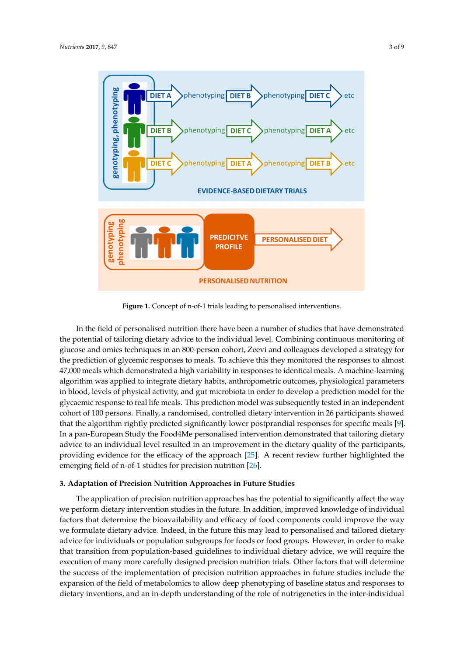

**Figure 1.** Concept of n-of-1 trials leading to personalised interventions. **Figure 1.** Concept of n-of-1 trials leading to personalised interventions.

In the field of personalised nutrition there have been a number of studies that have In the field of personalised nutrition there have been a number of studies that have demonstrated the potential of tailoring dietary advice to the individual level. Combining continuous monitoring of glucose and omics techniques in an 800-person cohort, Zeevi and colleagues developed a strategy for the prediction of glycemic responses to meals. To achieve this they monitored the responses to almost 47,000 meals which demonstrated a high variability in responses to identical meals. A machine-learning algorithm was applied to integrate dietary habits, anthropometric outcomes, physiological parameters in blood, levels of physical activity, and gut microbiota in order to develop a prediction model for the glycaemic response to real life meals. This prediction model was subsequently tested in an independent cohort of 100 persons. Finally, a randomised, controlled dietary intervention in 26 participants showed that the algorithm rightly predicted significantly lower postprandial responses for specific meals [9]. In a pan-European Study the Food4Me personalised intervention demonstrated that tailoring dietary advice to an individual level resulted in an improvement in the dietary quality of the participants, providing evidence for the efficacy of the approach [25]. A recent review further highlighted the the approach is emerging field of n-of-1 studies for precision nutrition [26].  $\overline{C}$ .

## **3. Adaptation of Precision Nutrition Approaches in Future Studies**

**3. Adaptation of Precision Nutrition Approaches in Future Studies**  we perform dietary intervention studies in the future. In addition, improved knowledge of individual factors that determine the bioavailability and efficacy of food components could improve the way we formulate dietary advice. Indeed, in the future this may lead to personalised and tailored dietary advice for individuals or population subgroups for foods or food groups. However, in order to make that transition from population-based guidelines to individual dietary advice, we will require the execution of many more carefully designed precision nutrition trials. Other factors that will determine the success of the implementation of precision nutrition approaches in future studies include the expansion of the field of metabolomics to allow deep phenotyping of baseline status and responses to dietary inventions, and an in-depth understanding of the role of nutrigenetics in the inter-individual The application of precision nutrition approaches has the potential to significantly affect the way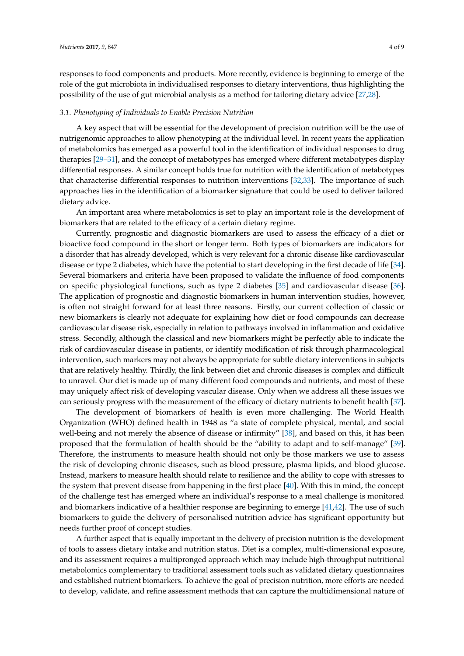responses to food components and products. More recently, evidence is beginning to emerge of the role of the gut microbiota in individualised responses to dietary interventions, thus highlighting the possibility of the use of gut microbial analysis as a method for tailoring dietary advice [27,28].

#### *3.1. Phenotyping of Individuals to Enable Precision Nutrition*

A key aspect that will be essential for the development of precision nutrition will be the use of nutrigenomic approaches to allow phenotyping at the individual level. In recent years the application of metabolomics has emerged as a powerful tool in the identification of individual responses to drug therapies [29–31], and the concept of metabotypes has emerged where different metabotypes display differential responses. A similar concept holds true for nutrition with the identification of metabotypes that characterise differential responses to nutrition interventions [32,33]. The importance of such approaches lies in the identification of a biomarker signature that could be used to deliver tailored dietary advice.

An important area where metabolomics is set to play an important role is the development of biomarkers that are related to the efficacy of a certain dietary regime.

Currently, prognostic and diagnostic biomarkers are used to assess the efficacy of a diet or bioactive food compound in the short or longer term. Both types of biomarkers are indicators for a disorder that has already developed, which is very relevant for a chronic disease like cardiovascular disease or type 2 diabetes, which have the potential to start developing in the first decade of life [34]. Several biomarkers and criteria have been proposed to validate the influence of food components on specific physiological functions, such as type 2 diabetes [35] and cardiovascular disease [36]. The application of prognostic and diagnostic biomarkers in human intervention studies, however, is often not straight forward for at least three reasons. Firstly, our current collection of classic or new biomarkers is clearly not adequate for explaining how diet or food compounds can decrease cardiovascular disease risk, especially in relation to pathways involved in inflammation and oxidative stress. Secondly, although the classical and new biomarkers might be perfectly able to indicate the risk of cardiovascular disease in patients, or identify modification of risk through pharmacological intervention, such markers may not always be appropriate for subtle dietary interventions in subjects that are relatively healthy. Thirdly, the link between diet and chronic diseases is complex and difficult to unravel. Our diet is made up of many different food compounds and nutrients, and most of these may uniquely affect risk of developing vascular disease. Only when we address all these issues we can seriously progress with the measurement of the efficacy of dietary nutrients to benefit health [37].

The development of biomarkers of health is even more challenging. The World Health Organization (WHO) defined health in 1948 as "a state of complete physical, mental, and social well-being and not merely the absence of disease or infirmity" [38], and based on this, it has been proposed that the formulation of health should be the "ability to adapt and to self-manage" [39]. Therefore, the instruments to measure health should not only be those markers we use to assess the risk of developing chronic diseases, such as blood pressure, plasma lipids, and blood glucose. Instead, markers to measure health should relate to resilience and the ability to cope with stresses to the system that prevent disease from happening in the first place [40]. With this in mind, the concept of the challenge test has emerged where an individual's response to a meal challenge is monitored and biomarkers indicative of a healthier response are beginning to emerge [41,42]. The use of such biomarkers to guide the delivery of personalised nutrition advice has significant opportunity but needs further proof of concept studies.

A further aspect that is equally important in the delivery of precision nutrition is the development of tools to assess dietary intake and nutrition status. Diet is a complex, multi-dimensional exposure, and its assessment requires a multipronged approach which may include high-throughput nutritional metabolomics complementary to traditional assessment tools such as validated dietary questionnaires and established nutrient biomarkers. To achieve the goal of precision nutrition, more efforts are needed to develop, validate, and refine assessment methods that can capture the multidimensional nature of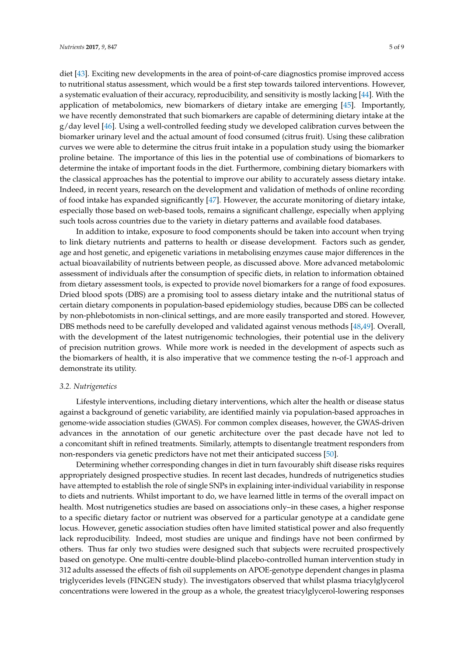diet [43]. Exciting new developments in the area of point-of-care diagnostics promise improved access to nutritional status assessment, which would be a first step towards tailored interventions. However, a systematic evaluation of their accuracy, reproducibility, and sensitivity is mostly lacking [44]. With the application of metabolomics, new biomarkers of dietary intake are emerging [45]. Importantly, we have recently demonstrated that such biomarkers are capable of determining dietary intake at the  $g$ /day level [46]. Using a well-controlled feeding study we developed calibration curves between the biomarker urinary level and the actual amount of food consumed (citrus fruit). Using these calibration curves we were able to determine the citrus fruit intake in a population study using the biomarker proline betaine. The importance of this lies in the potential use of combinations of biomarkers to determine the intake of important foods in the diet. Furthermore, combining dietary biomarkers with the classical approaches has the potential to improve our ability to accurately assess dietary intake. Indeed, in recent years, research on the development and validation of methods of online recording of food intake has expanded significantly [47]. However, the accurate monitoring of dietary intake, especially those based on web-based tools, remains a significant challenge, especially when applying such tools across countries due to the variety in dietary patterns and available food databases.

In addition to intake, exposure to food components should be taken into account when trying to link dietary nutrients and patterns to health or disease development. Factors such as gender, age and host genetic, and epigenetic variations in metabolising enzymes cause major differences in the actual bioavailability of nutrients between people, as discussed above. More advanced metabolomic assessment of individuals after the consumption of specific diets, in relation to information obtained from dietary assessment tools, is expected to provide novel biomarkers for a range of food exposures. Dried blood spots (DBS) are a promising tool to assess dietary intake and the nutritional status of certain dietary components in population-based epidemiology studies, because DBS can be collected by non-phlebotomists in non-clinical settings, and are more easily transported and stored. However, DBS methods need to be carefully developed and validated against venous methods [48,49]. Overall, with the development of the latest nutrigenomic technologies, their potential use in the delivery of precision nutrition grows. While more work is needed in the development of aspects such as the biomarkers of health, it is also imperative that we commence testing the n-of-1 approach and demonstrate its utility.

## *3.2. Nutrigenetics*

Lifestyle interventions, including dietary interventions, which alter the health or disease status against a background of genetic variability, are identified mainly via population-based approaches in genome-wide association studies (GWAS). For common complex diseases, however, the GWAS-driven advances in the annotation of our genetic architecture over the past decade have not led to a concomitant shift in refined treatments. Similarly, attempts to disentangle treatment responders from non-responders via genetic predictors have not met their anticipated success [50].

Determining whether corresponding changes in diet in turn favourably shift disease risks requires appropriately designed prospective studies. In recent last decades, hundreds of nutrigenetics studies have attempted to establish the role of single SNPs in explaining inter-individual variability in response to diets and nutrients. Whilst important to do, we have learned little in terms of the overall impact on health. Most nutrigenetics studies are based on associations only–in these cases, a higher response to a specific dietary factor or nutrient was observed for a particular genotype at a candidate gene locus. However, genetic association studies often have limited statistical power and also frequently lack reproducibility. Indeed, most studies are unique and findings have not been confirmed by others. Thus far only two studies were designed such that subjects were recruited prospectively based on genotype. One multi-centre double-blind placebo-controlled human intervention study in 312 adults assessed the effects of fish oil supplements on APOE-genotype dependent changes in plasma triglycerides levels (FINGEN study). The investigators observed that whilst plasma triacylglycerol concentrations were lowered in the group as a whole, the greatest triacylglycerol-lowering responses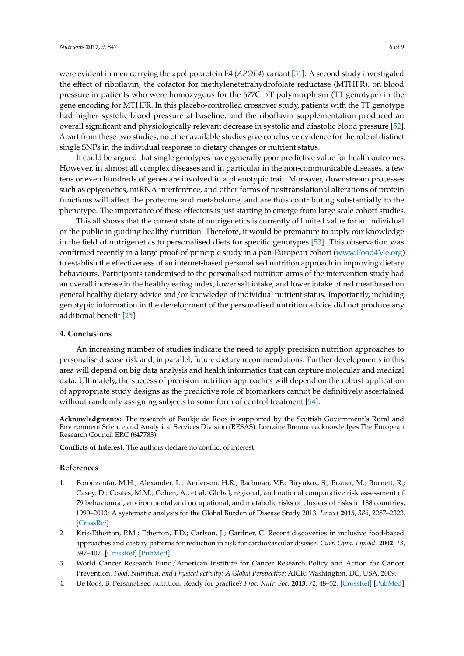were evident in men carrying the apolipoprotein E4 (*APOE4*) variant [51]. A second study investigated the effect of riboflavin, the cofactor for methylenetetrahydrofolate reductase (MTHFR), on blood pressure in patients who were homozygous for the  $677C \rightarrow T$  polymorphism (TT genotype) in the gene encoding for MTHFR. In this placebo-controlled crossover study, patients with the TT genotype had higher systolic blood pressure at baseline, and the riboflavin supplementation produced an overall significant and physiologically relevant decrease in systolic and diastolic blood pressure [52]. Apart from these two studies, no other available studies give conclusive evidence for the role of distinct single SNPs in the individual response to dietary changes or nutrient status.

It could be argued that single genotypes have generally poor predictive value for health outcomes. However, in almost all complex diseases and in particular in the non-communicable diseases, a few tens or even hundreds of genes are involved in a phenotypic trait. Moreover, downstream processes such as epigenetics, miRNA interference, and other forms of posttranslational alterations of protein functions will affect the proteome and metabolome, and are thus contributing substantially to the phenotype. The importance of these effectors is just starting to emerge from large scale cohort studies.

This all shows that the current state of nutrigenetics is currently of limited value for an individual or the public in guiding healthy nutrition. Therefore, it would be premature to apply our knowledge in the field of nutrigenetics to personalised diets for specific genotypes [53]. This observation was confirmed recently in a large proof-of-principle study in a pan-European cohort [\(www.Food4Me.org\)](www.Food4Me.org) to establish the effectiveness of an internet-based personalised nutrition approach in improving dietary behaviours. Participants randomised to the personalised nutrition arms of the intervention study had an overall increase in the healthy eating index, lower salt intake, and lower intake of red meat based on general healthy dietary advice and/or knowledge of individual nutrient status. Importantly, including genotypic information in the development of the personalised nutrition advice did not produce any additional benefit [25].

#### **4. Conclusions**

An increasing number of studies indicate the need to apply precision nutrition approaches to personalise disease risk and, in parallel, future dietary recommendations. Further developments in this area will depend on big data analysis and health informatics that can capture molecular and medical data. Ultimately, the success of precision nutrition approaches will depend on the robust application of appropriate study designs as the predictive role of biomarkers cannot be definitively ascertained without randomly assigning subjects to some form of control treatment [54].

**Acknowledgments:** The research of Baukje de Roos is supported by the Scottish Government's Rural and Environment Science and Analytical Services Division (RESAS). Lorraine Brennan acknowledges The European Research Council ERC (647783).

**Conflicts of Interest:** The authors declare no conflict of interest.

#### **References**

- 1. Forouzanfar, M.H.; Alexander, L.; Anderson, H.R.; Bachman, V.F.; Biryukov, S.; Brauer, M.; Burnett, R.; Casey, D.; Coates, M.M.; Cohen, A.; et al. Global, regional, and national comparative risk assessment of 79 behavioural, environmental and occupational, and metabolic risks or clusters of risks in 188 countries, 1990–2013: A systematic analysis for the Global Burden of Disease Study 2013. *Lancet* **2015**, *386*, 2287–2323. [\[CrossRef\]](http://dx.doi.org/10.1016/S0140-6736(15)00128-2)
- 2. Kris-Etherton, P.M.; Etherton, T.D.; Carlson, J.; Gardner, C. Recent discoveries in inclusive food-based approaches and dietary patterns for reduction in risk for cardiovascular disease. *Curr. Opin. Lipidol.* **2002**, *13*, 397–407. [\[CrossRef\]](http://dx.doi.org/10.1097/00041433-200208000-00007) [\[PubMed\]](http://www.ncbi.nlm.nih.gov/pubmed/12151855)
- 3. World Cancer Research Fund/American Institute for Cancer Research Policy and Action for Cancer Prevention. *Food, Nutrition, and Physical activity: A Global Perspective*; AICR: Washington, DC, USA, 2009.
- 4. De Roos, B. Personalised nutrition: Ready for practice? *Proc. Nutr. Soc.* **2013**, *72*, 48–52. [\[CrossRef\]](http://dx.doi.org/10.1017/S0029665112002844) [\[PubMed\]](http://www.ncbi.nlm.nih.gov/pubmed/23199675)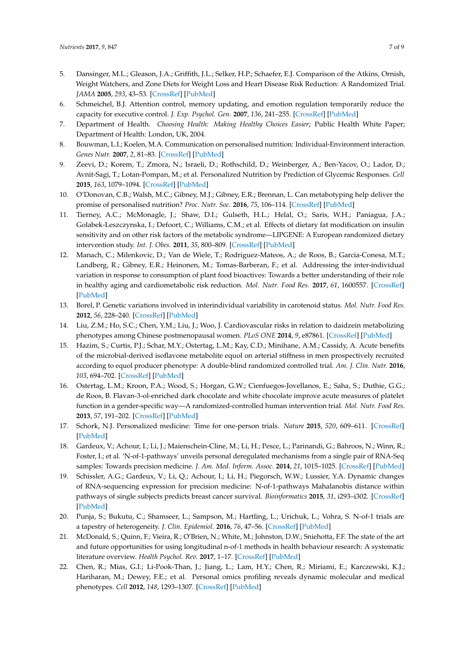- 5. Dansinger, M.L.; Gleason, J.A.; Griffith, J.L.; Selker, H.P.; Schaefer, E.J. Comparison of the Atkins, Ornish, Weight Watchers, and Zone Diets for Weight Loss and Heart Disease Risk Reduction: A Randomized Trial. *JAMA* **2005**, *293*, 43–53. [\[CrossRef\]](http://dx.doi.org/10.1001/jama.293.1.43) [\[PubMed\]](http://www.ncbi.nlm.nih.gov/pubmed/15632335)
- 6. Schmeichel, B.J. Attention control, memory updating, and emotion regulation temporarily reduce the capacity for executive control. *J. Exp. Psychol. Gen.* **2007**, *136*, 241–255. [\[CrossRef\]](http://dx.doi.org/10.1037/0096-3445.136.2.241) [\[PubMed\]](http://www.ncbi.nlm.nih.gov/pubmed/17500649)
- 7. Department of Health. *Choosing Health: Making Healthy Choices Easier*; Public Health White Paper; Department of Health: London, UK, 2004.
- 8. Bouwman, L.I.; Koelen, M.A. Communication on personalised nutrition: Individual-Environment interaction. *Genes Nutr.* **2007**, *2*, 81–83. [\[CrossRef\]](http://dx.doi.org/10.1007/s12263-007-0009-6) [\[PubMed\]](http://www.ncbi.nlm.nih.gov/pubmed/18850147)
- 9. Zeevi, D.; Korem, T.; Zmora, N.; Israeli, D.; Rothschild, D.; Weinberger, A.; Ben-Yacov, O.; Lador, D.; Avnit-Sagi, T.; Lotan-Pompan, M.; et al. Personalized Nutrition by Prediction of Glycemic Responses. *Cell* **2015**, *163*, 1079–1094. [\[CrossRef\]](http://dx.doi.org/10.1016/j.cell.2015.11.001) [\[PubMed\]](http://www.ncbi.nlm.nih.gov/pubmed/26590418)
- 10. O'Donovan, C.B.; Walsh, M.C.; Gibney, M.J.; Gibney, E.R.; Brennan, L. Can metabotyping help deliver the promise of personalised nutrition? *Proc. Nutr. Soc.* **2016**, *75*, 106–114. [\[CrossRef\]](http://dx.doi.org/10.1017/S0029665115002347) [\[PubMed\]](http://www.ncbi.nlm.nih.gov/pubmed/26259951)
- 11. Tierney, A.C.; McMonagle, J.; Shaw, D.I.; Gulseth, H.L.; Helal, O.; Saris, W.H.; Paniagua, J.A.; Golabek-Leszczynska, I.; Defoort, C.; Williams, C.M.; et al. Effects of dietary fat modification on insulin sensitivity and on other risk factors of the metabolic syndrome—LIPGENE: A European randomized dietary intervention study. *Int. J. Obes.* **2011**, *35*, 800–809. [\[CrossRef\]](http://dx.doi.org/10.1038/ijo.2010.209) [\[PubMed\]](http://www.ncbi.nlm.nih.gov/pubmed/20938439)
- 12. Manach, C.; Milenkovic, D.; Van de Wiele, T.; Rodriguez-Mateos, A.; de Roos, B.; Garcia-Conesa, M.T.; Landberg, R.; Gibney, E.R.; Heinonen, M.; Tomas-Barberan, F.; et al. Addressing the inter-individual variation in response to consumption of plant food bioactives: Towards a better understanding of their role in healthy aging and cardiometabolic risk reduction. *Mol. Nutr. Food Res.* **2017**, *61*, 1600557. [\[CrossRef\]](http://dx.doi.org/10.1002/mnfr.201600557) [\[PubMed\]](http://www.ncbi.nlm.nih.gov/pubmed/27687784)
- 13. Borel, P. Genetic variations involved in interindividual variability in carotenoid status. *Mol. Nutr. Food Res.* **2012**, *56*, 228–240. [\[CrossRef\]](http://dx.doi.org/10.1002/mnfr.201100322) [\[PubMed\]](http://www.ncbi.nlm.nih.gov/pubmed/21957063)
- 14. Liu, Z.M.; Ho, S.C.; Chen, Y.M.; Liu, J.; Woo, J. Cardiovascular risks in relation to daidzein metabolizing phenotypes among Chinese postmenopausal women. *PLoS ONE* **2014**, *9*, e87861. [\[CrossRef\]](http://dx.doi.org/10.1371/journal.pone.0087861) [\[PubMed\]](http://www.ncbi.nlm.nih.gov/pubmed/24533060)
- 15. Hazim, S.; Curtis, P.J.; Schar, M.Y.; Ostertag, L.M.; Kay, C.D.; Minihane, A.M.; Cassidy, A. Acute benefits of the microbial-derived isoflavone metabolite equol on arterial stiffness in men prospectively recruited according to equol producer phenotype: A double-blind randomized controlled trial. *Am. J. Clin. Nutr.* **2016**, *103*, 694–702. [\[CrossRef\]](http://dx.doi.org/10.3945/ajcn.115.125690) [\[PubMed\]](http://www.ncbi.nlm.nih.gov/pubmed/26843154)
- 16. Ostertag, L.M.; Kroon, P.A.; Wood, S.; Horgan, G.W.; Cienfuegos-Jovellanos, E.; Saha, S.; Duthie, G.G.; de Roos, B. Flavan-3-ol-enriched dark chocolate and white chocolate improve acute measures of platelet function in a gender-specific way—A randomized-controlled human intervention trial. *Mol. Nutr. Food Res.* **2013**, *57*, 191–202. [\[CrossRef\]](http://dx.doi.org/10.1002/mnfr.201200283) [\[PubMed\]](http://www.ncbi.nlm.nih.gov/pubmed/23136121)
- 17. Schork, N.J. Personalized medicine: Time for one-person trials. *Nature* **2015**, *520*, 609–611. [\[CrossRef\]](http://dx.doi.org/10.1038/520609a) [\[PubMed\]](http://www.ncbi.nlm.nih.gov/pubmed/25925459)
- 18. Gardeux, V.; Achour, I.; Li, J.; Maienschein-Cline, M.; Li, H.; Pesce, L.; Parinandi, G.; Bahroos, N.; Winn, R.; Foster, I.; et al. 'N-of-1-pathways' unveils personal deregulated mechanisms from a single pair of RNA-Seq samples: Towards precision medicine. *J. Am. Med. Inform. Assoc.* **2014**, *21*, 1015–1025. [\[CrossRef\]](http://dx.doi.org/10.1136/amiajnl-2013-002519) [\[PubMed\]](http://www.ncbi.nlm.nih.gov/pubmed/25301808)
- 19. Schissler, A.G.; Gardeux, V.; Li, Q.; Achour, I.; Li, H.; Piegorsch, W.W.; Lussier, Y.A. Dynamic changes of RNA-sequencing expression for precision medicine: N-of-1-pathways Mahalanobis distance within pathways of single subjects predicts breast cancer survival. *Bioinformatics* **2015**, *31*, i293–i302. [\[CrossRef\]](http://dx.doi.org/10.1093/bioinformatics/btv253) [\[PubMed\]](http://www.ncbi.nlm.nih.gov/pubmed/26072495)
- 20. Punja, S.; Bukutu, C.; Shamseer, L.; Sampson, M.; Hartling, L.; Urichuk, L.; Vohra, S. N-of-1 trials are a tapestry of heterogeneity. *J. Clin. Epidemiol.* **2016**, *76*, 47–56. [\[CrossRef\]](http://dx.doi.org/10.1016/j.jclinepi.2016.03.023) [\[PubMed\]](http://www.ncbi.nlm.nih.gov/pubmed/27079847)
- 21. McDonald, S.; Quinn, F.; Vieira, R.; O'Brien, N.; White, M.; Johnston, D.W.; Sniehotta, F.F. The state of the art and future opportunities for using longitudinal n-of-1 methods in health behaviour research: A systematic literature overview. *Health Psychol. Rev.* **2017**, 1–17. [\[CrossRef\]](http://dx.doi.org/10.1080/17437199.2017.1316672) [\[PubMed\]](http://www.ncbi.nlm.nih.gov/pubmed/28406349)
- 22. Chen, R.; Mias, G.I.; Li-Pook-Than, J.; Jiang, L.; Lam, H.Y.; Chen, R.; Miriami, E.; Karczewski, K.J.; Hariharan, M.; Dewey, F.E.; et al. Personal omics profiling reveals dynamic molecular and medical phenotypes. *Cell* **2012**, *148*, 1293–1307. [\[CrossRef\]](http://dx.doi.org/10.1016/j.cell.2012.02.009) [\[PubMed\]](http://www.ncbi.nlm.nih.gov/pubmed/22424236)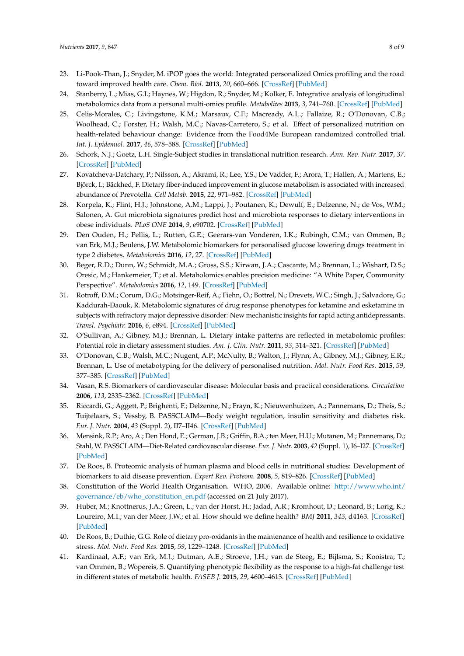- 23. Li-Pook-Than, J.; Snyder, M. iPOP goes the world: Integrated personalized Omics profiling and the road toward improved health care. *Chem. Biol.* **2013**, *20*, 660–666. [\[CrossRef\]](http://dx.doi.org/10.1016/j.chembiol.2013.05.001) [\[PubMed\]](http://www.ncbi.nlm.nih.gov/pubmed/23706632)
- 24. Stanberry, L.; Mias, G.I.; Haynes, W.; Higdon, R.; Snyder, M.; Kolker, E. Integrative analysis of longitudinal metabolomics data from a personal multi-omics profile. *Metabolites* **2013**, *3*, 741–760. [\[CrossRef\]](http://dx.doi.org/10.3390/metabo3030741) [\[PubMed\]](http://www.ncbi.nlm.nih.gov/pubmed/24958148)
- 25. Celis-Morales, C.; Livingstone, K.M.; Marsaux, C.F.; Macready, A.L.; Fallaize, R.; O'Donovan, C.B.; Woolhead, C.; Forster, H.; Walsh, M.C.; Navas-Carretero, S.; et al. Effect of personalized nutrition on health-related behaviour change: Evidence from the Food4Me European randomized controlled trial. *Int. J. Epidemiol.* **2017**, *46*, 578–588. [\[CrossRef\]](http://dx.doi.org/10.1093/ije/dyw186) [\[PubMed\]](http://www.ncbi.nlm.nih.gov/pubmed/27524815)
- 26. Schork, N.J.; Goetz, L.H. Single-Subject studies in translational nutrition research. *Ann. Rev. Nutr.* **2017**, *37*. [\[CrossRef\]](http://dx.doi.org/10.1146/annurev-nutr-071816-064717) [\[PubMed\]](http://www.ncbi.nlm.nih.gov/pubmed/28715990)
- 27. Kovatcheva-Datchary, P.; Nilsson, A.; Akrami, R.; Lee, Y.S.; De Vadder, F.; Arora, T.; Hallen, A.; Martens, E.; Björck, I.; Bäckhed, F. Dietary fiber-induced improvement in glucose metabolism is associated with increased abundance of Prevotella. *Cell Metab.* **2015**, *22*, 971–982. [\[CrossRef\]](http://dx.doi.org/10.1016/j.cmet.2015.10.001) [\[PubMed\]](http://www.ncbi.nlm.nih.gov/pubmed/26552345)
- 28. Korpela, K.; Flint, H.J.; Johnstone, A.M.; Lappi, J.; Poutanen, K.; Dewulf, E.; Delzenne, N.; de Vos, W.M.; Salonen, A. Gut microbiota signatures predict host and microbiota responses to dietary interventions in obese individuals. *PLoS ONE* **2014**, *9*, e90702. [\[CrossRef\]](http://dx.doi.org/10.1371/journal.pone.0090702) [\[PubMed\]](http://www.ncbi.nlm.nih.gov/pubmed/24603757)
- 29. Den Ouden, H.; Pellis, L.; Rutten, G.E.; Geerars-van Vonderen, I.K.; Rubingh, C.M.; van Ommen, B.; van Erk, M.J.; Beulens, J.W. Metabolomic biomarkers for personalised glucose lowering drugs treatment in type 2 diabetes. *Metabolomics* **2016**, *12*, 27. [\[CrossRef\]](http://dx.doi.org/10.1007/s11306-015-0930-4) [\[PubMed\]](http://www.ncbi.nlm.nih.gov/pubmed/26770180)
- 30. Beger, R.D.; Dunn, W.; Schmidt, M.A.; Gross, S.S.; Kirwan, J.A.; Cascante, M.; Brennan, L.; Wishart, D.S.; Oresic, M.; Hankemeier, T.; et al. Metabolomics enables precision medicine: "A White Paper, Community Perspective". *Metabolomics* **2016**, *12*, 149. [\[CrossRef\]](http://dx.doi.org/10.1007/s11306-016-1094-6) [\[PubMed\]](http://www.ncbi.nlm.nih.gov/pubmed/27642271)
- 31. Rotroff, D.M.; Corum, D.G.; Motsinger-Reif, A.; Fiehn, O.; Bottrel, N.; Drevets, W.C.; Singh, J.; Salvadore, G.; Kaddurah-Daouk, R. Metabolomic signatures of drug response phenotypes for ketamine and esketamine in subjects with refractory major depressive disorder: New mechanistic insights for rapid acting antidepressants. *Transl. Psychiatr.* **2016**, *6*, e894. [\[CrossRef\]](http://dx.doi.org/10.1038/tp.2016.145) [\[PubMed\]](http://www.ncbi.nlm.nih.gov/pubmed/27648916)
- 32. O'Sullivan, A.; Gibney, M.J.; Brennan, L. Dietary intake patterns are reflected in metabolomic profiles: Potential role in dietary assessment studies. *Am. J. Clin. Nutr.* **2011**, *93*, 314–321. [\[CrossRef\]](http://dx.doi.org/10.3945/ajcn.110.000950) [\[PubMed\]](http://www.ncbi.nlm.nih.gov/pubmed/21177801)
- 33. O'Donovan, C.B.; Walsh, M.C.; Nugent, A.P.; McNulty, B.; Walton, J.; Flynn, A.; Gibney, M.J.; Gibney, E.R.; Brennan, L. Use of metabotyping for the delivery of personalised nutrition. *Mol. Nutr. Food Res.* **2015**, *59*, 377–385. [\[CrossRef\]](http://dx.doi.org/10.1002/mnfr.201400591) [\[PubMed\]](http://www.ncbi.nlm.nih.gov/pubmed/25410729)
- 34. Vasan, R.S. Biomarkers of cardiovascular disease: Molecular basis and practical considerations. *Circulation* **2006**, *113*, 2335–2362. [\[CrossRef\]](http://dx.doi.org/10.1161/CIRCULATIONAHA.104.482570) [\[PubMed\]](http://www.ncbi.nlm.nih.gov/pubmed/16702488)
- 35. Riccardi, G.; Aggett, P.; Brighenti, F.; Delzenne, N.; Frayn, K.; Nieuwenhuizen, A.; Pannemans, D.; Theis, S.; Tuijtelaars, S.; Vessby, B. PASSCLAIM—Body weight regulation, insulin sensitivity and diabetes risk. *Eur. J. Nutr.* **2004**, *43* (Suppl. 2), II7–II46. [\[CrossRef\]](http://dx.doi.org/10.1007/s00394-004-1202-7) [\[PubMed\]](http://www.ncbi.nlm.nih.gov/pubmed/15221353)
- 36. Mensink, R.P.; Aro, A.; Den Hond, E.; German, J.B.; Griffin, B.A.; ten Meer, H.U.; Mutanen, M.; Pannemans, D.; Stahl, W. PASSCLAIM—Diet-Related cardiovascular disease. *Eur. J. Nutr.* **2003**, *42* (Suppl. 1), I6–I27. [\[CrossRef\]](http://dx.doi.org/10.1007/s00394-003-1102-2) [\[PubMed\]](http://www.ncbi.nlm.nih.gov/pubmed/12664321)
- 37. De Roos, B. Proteomic analysis of human plasma and blood cells in nutritional studies: Development of biomarkers to aid disease prevention. *Expert Rev. Proteom.* **2008**, *5*, 819–826. [\[CrossRef\]](http://dx.doi.org/10.1586/14789450.5.6.819) [\[PubMed\]](http://www.ncbi.nlm.nih.gov/pubmed/19086861)
- 38. Constitution of the World Health Organisation. WHO, 2006. Available online: [http://www.who.int/](http://www.who.int/governance/eb/who_constitution_en.pdf) [governance/eb/who\\_constitution\\_en.pdf](http://www.who.int/governance/eb/who_constitution_en.pdf) (accessed on 21 July 2017).
- 39. Huber, M.; Knottnerus, J.A.; Green, L.; van der Horst, H.; Jadad, A.R.; Kromhout, D.; Leonard, B.; Lorig, K.; Loureiro, M.I.; van der Meer, J.W.; et al. How should we define health? *BMJ* **2011**, *343*, d4163. [\[CrossRef\]](http://dx.doi.org/10.1136/bmj.d4163) [\[PubMed\]](http://www.ncbi.nlm.nih.gov/pubmed/21791490)
- 40. De Roos, B.; Duthie, G.G. Role of dietary pro-oxidants in the maintenance of health and resilience to oxidative stress. *Mol. Nutr. Food Res.* **2015**, *59*, 1229–1248. [\[CrossRef\]](http://dx.doi.org/10.1002/mnfr.201400568) [\[PubMed\]](http://www.ncbi.nlm.nih.gov/pubmed/25546122)
- 41. Kardinaal, A.F.; van Erk, M.J.; Dutman, A.E.; Stroeve, J.H.; van de Steeg, E.; Bijlsma, S.; Kooistra, T.; van Ommen, B.; Wopereis, S. Quantifying phenotypic flexibility as the response to a high-fat challenge test in different states of metabolic health. *FASEB J.* **2015**, *29*, 4600–4613. [\[CrossRef\]](http://dx.doi.org/10.1096/fj.14-269852) [\[PubMed\]](http://www.ncbi.nlm.nih.gov/pubmed/26198450)